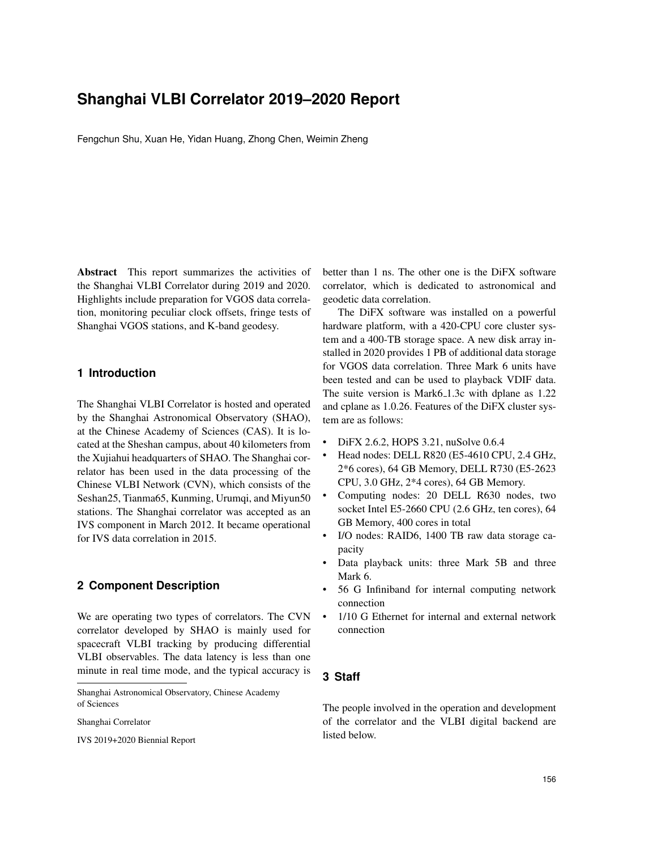# **Shanghai VLBI Correlator 2019–2020 Report**

Fengchun Shu, Xuan He, Yidan Huang, Zhong Chen, Weimin Zheng

Abstract This report summarizes the activities of the Shanghai VLBI Correlator during 2019 and 2020. Highlights include preparation for VGOS data correlation, monitoring peculiar clock offsets, fringe tests of Shanghai VGOS stations, and K-band geodesy.

### **1 Introduction**

The Shanghai VLBI Correlator is hosted and operated by the Shanghai Astronomical Observatory (SHAO), at the Chinese Academy of Sciences (CAS). It is located at the Sheshan campus, about 40 kilometers from the Xujiahui headquarters of SHAO. The Shanghai correlator has been used in the data processing of the Chinese VLBI Network (CVN), which consists of the Seshan25, Tianma65, Kunming, Urumqi, and Miyun50 stations. The Shanghai correlator was accepted as an IVS component in March 2012. It became operational for IVS data correlation in 2015.

### **2 Component Description**

We are operating two types of correlators. The CVN correlator developed by SHAO is mainly used for spacecraft VLBI tracking by producing differential VLBI observables. The data latency is less than one minute in real time mode, and the typical accuracy is

Shanghai Astronomical Observatory, Chinese Academy of Sciences

Shanghai Correlator

IVS 2019+2020 Biennial Report

better than 1 ns. The other one is the DiFX software correlator, which is dedicated to astronomical and geodetic data correlation.

The DiFX software was installed on a powerful hardware platform, with a 420-CPU core cluster system and a 400-TB storage space. A new disk array installed in 2020 provides 1 PB of additional data storage for VGOS data correlation. Three Mark 6 units have been tested and can be used to playback VDIF data. The suite version is Mark6<sub>-1</sub>.3c with dplane as 1.22 and cplane as 1.0.26. Features of the DiFX cluster system are as follows:

- DiFX 2.6.2, HOPS 3.21, nuSolve 0.6.4
- Head nodes: DELL R820 (E5-4610 CPU, 2.4 GHz, 2\*6 cores), 64 GB Memory, DELL R730 (E5-2623 CPU, 3.0 GHz, 2\*4 cores), 64 GB Memory.
- Computing nodes: 20 DELL R630 nodes, two socket Intel E5-2660 CPU (2.6 GHz, ten cores), 64 GB Memory, 400 cores in total
- I/O nodes: RAID6, 1400 TB raw data storage capacity
- Data playback units: three Mark 5B and three Mark 6.
- 56 G Infiniband for internal computing network connection
- 1/10 G Ethernet for internal and external network connection

### **3 Staff**

The people involved in the operation and development of the correlator and the VLBI digital backend are listed below.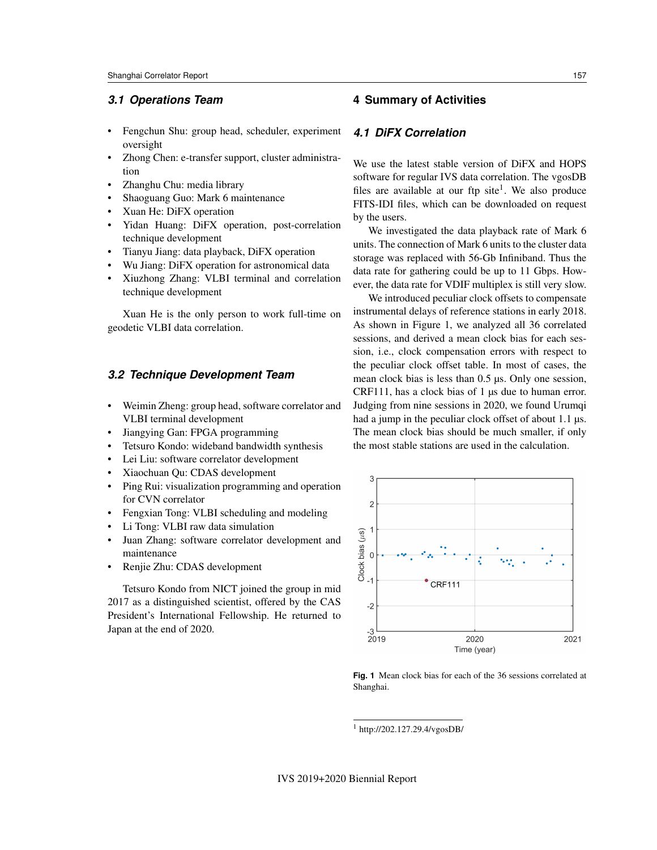### *3.1 Operations Team*

- Fengchun Shu: group head, scheduler, experiment oversight
- Zhong Chen: e-transfer support, cluster administration
- Zhanghu Chu: media library
- Shaoguang Guo: Mark 6 maintenance
- Xuan He: DiFX operation
- Yidan Huang: DiFX operation, post-correlation technique development
- Tianyu Jiang: data playback, DiFX operation
- Wu Jiang: DiFX operation for astronomical data • Xiuzhong Zhang: VLBI terminal and correlation technique development

Xuan He is the only person to work full-time on geodetic VLBI data correlation.

### *3.2 Technique Development Team*

- Weimin Zheng: group head, software correlator and VLBI terminal development
- Jiangying Gan: FPGA programming
- Tetsuro Kondo: wideband bandwidth synthesis
- Lei Liu: software correlator development
- Xiaochuan Qu: CDAS development
- Ping Rui: visualization programming and operation for CVN correlator
- Fengxian Tong: VLBI scheduling and modeling
- Li Tong: VLBI raw data simulation
- Juan Zhang: software correlator development and maintenance
- Renjie Zhu: CDAS development

Tetsuro Kondo from NICT joined the group in mid 2017 as a distinguished scientist, offered by the CAS President's International Fellowship. He returned to Japan at the end of 2020.

### **4 Summary of Activities**

### *4.1 DiFX Correlation*

We use the latest stable version of DiFX and HOPS software for regular IVS data correlation. The vgosDB files are available at our ftp site<sup>1</sup>. We also produce FITS-IDI files, which can be downloaded on request by the users.

We investigated the data playback rate of Mark 6 units. The connection of Mark 6 units to the cluster data storage was replaced with 56-Gb Infiniband. Thus the data rate for gathering could be up to 11 Gbps. However, the data rate for VDIF multiplex is still very slow.

We introduced peculiar clock offsets to compensate instrumental delays of reference stations in early 2018. As shown in Figure 1, we analyzed all 36 correlated sessions, and derived a mean clock bias for each session, i.e., clock compensation errors with respect to the peculiar clock offset table. In most of cases, the mean clock bias is less than 0.5 µs. Only one session, CRF111, has a clock bias of 1 µs due to human error. Judging from nine sessions in 2020, we found Urumqi had a jump in the peculiar clock offset of about 1.1  $\mu$ s. The mean clock bias should be much smaller, if only the most stable stations are used in the calculation.



**Fig. 1** Mean clock bias for each of the 36 sessions correlated at Shanghai.

<sup>1</sup> http://202.127.29.4/vgosDB/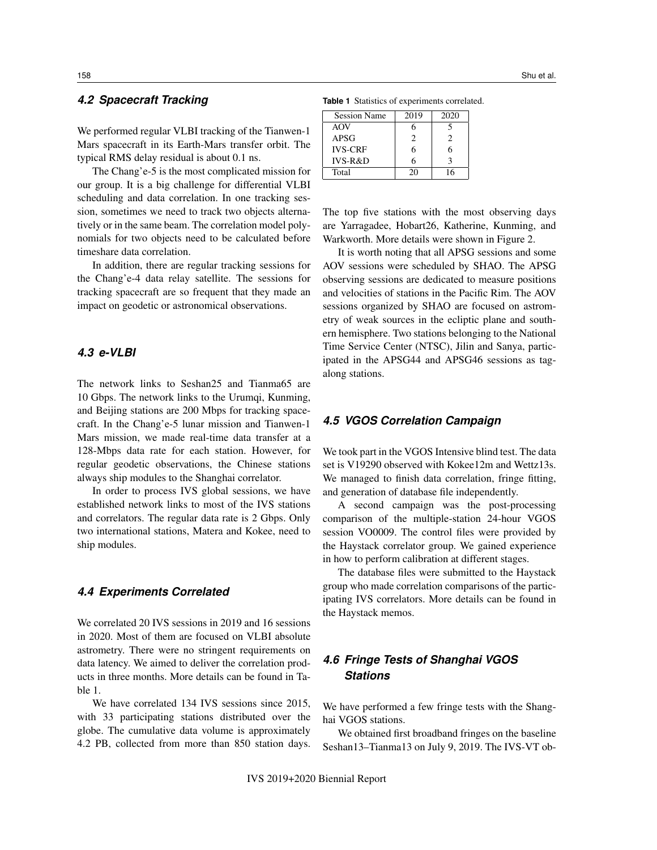### *4.2 Spacecraft Tracking*

We performed regular VLBI tracking of the Tianwen-1 Mars spacecraft in its Earth-Mars transfer orbit. The typical RMS delay residual is about 0.1 ns.

The Chang'e-5 is the most complicated mission for our group. It is a big challenge for differential VLBI scheduling and data correlation. In one tracking session, sometimes we need to track two objects alternatively or in the same beam. The correlation model polynomials for two objects need to be calculated before timeshare data correlation.

In addition, there are regular tracking sessions for the Chang'e-4 data relay satellite. The sessions for tracking spacecraft are so frequent that they made an impact on geodetic or astronomical observations.

### *4.3 e-VLBI*

The network links to Seshan25 and Tianma65 are 10 Gbps. The network links to the Urumqi, Kunming, and Beijing stations are 200 Mbps for tracking spacecraft. In the Chang'e-5 lunar mission and Tianwen-1 Mars mission, we made real-time data transfer at a 128-Mbps data rate for each station. However, for regular geodetic observations, the Chinese stations always ship modules to the Shanghai correlator.

In order to process IVS global sessions, we have established network links to most of the IVS stations and correlators. The regular data rate is 2 Gbps. Only two international stations, Matera and Kokee, need to ship modules.

### *4.4 Experiments Correlated*

We correlated 20 IVS sessions in 2019 and 16 sessions in 2020. Most of them are focused on VLBI absolute astrometry. There were no stringent requirements on data latency. We aimed to deliver the correlation products in three months. More details can be found in Table 1.

We have correlated 134 IVS sessions since 2015, with 33 participating stations distributed over the globe. The cumulative data volume is approximately 4.2 PB, collected from more than 850 station days.

**Table 1** Statistics of experiments correlated.

| <b>Session Name</b> | 2019          | 2020 |
|---------------------|---------------|------|
| AOV                 |               |      |
| APSG                | $\mathcal{D}$ | 2    |
| <b>IVS-CRF</b>      | 6             | 6    |
| IVS-R&D             | 6             | 2    |
| Total               | 20            | 16   |

The top five stations with the most observing days are Yarragadee, Hobart26, Katherine, Kunming, and Warkworth. More details were shown in Figure 2.

It is worth noting that all APSG sessions and some AOV sessions were scheduled by SHAO. The APSG observing sessions are dedicated to measure positions and velocities of stations in the Pacific Rim. The AOV sessions organized by SHAO are focused on astrometry of weak sources in the ecliptic plane and southern hemisphere. Two stations belonging to the National Time Service Center (NTSC), Jilin and Sanya, participated in the APSG44 and APSG46 sessions as tagalong stations.

#### *4.5 VGOS Correlation Campaign*

We took part in the VGOS Intensive blind test. The data set is V19290 observed with Kokee12m and Wettz13s. We managed to finish data correlation, fringe fitting, and generation of database file independently.

A second campaign was the post-processing comparison of the multiple-station 24-hour VGOS session VO0009. The control files were provided by the Haystack correlator group. We gained experience in how to perform calibration at different stages.

The database files were submitted to the Haystack group who made correlation comparisons of the participating IVS correlators. More details can be found in the Haystack memos.

# *4.6 Fringe Tests of Shanghai VGOS Stations*

We have performed a few fringe tests with the Shanghai VGOS stations.

We obtained first broadband fringes on the baseline Seshan13–Tianma13 on July 9, 2019. The IVS-VT ob-